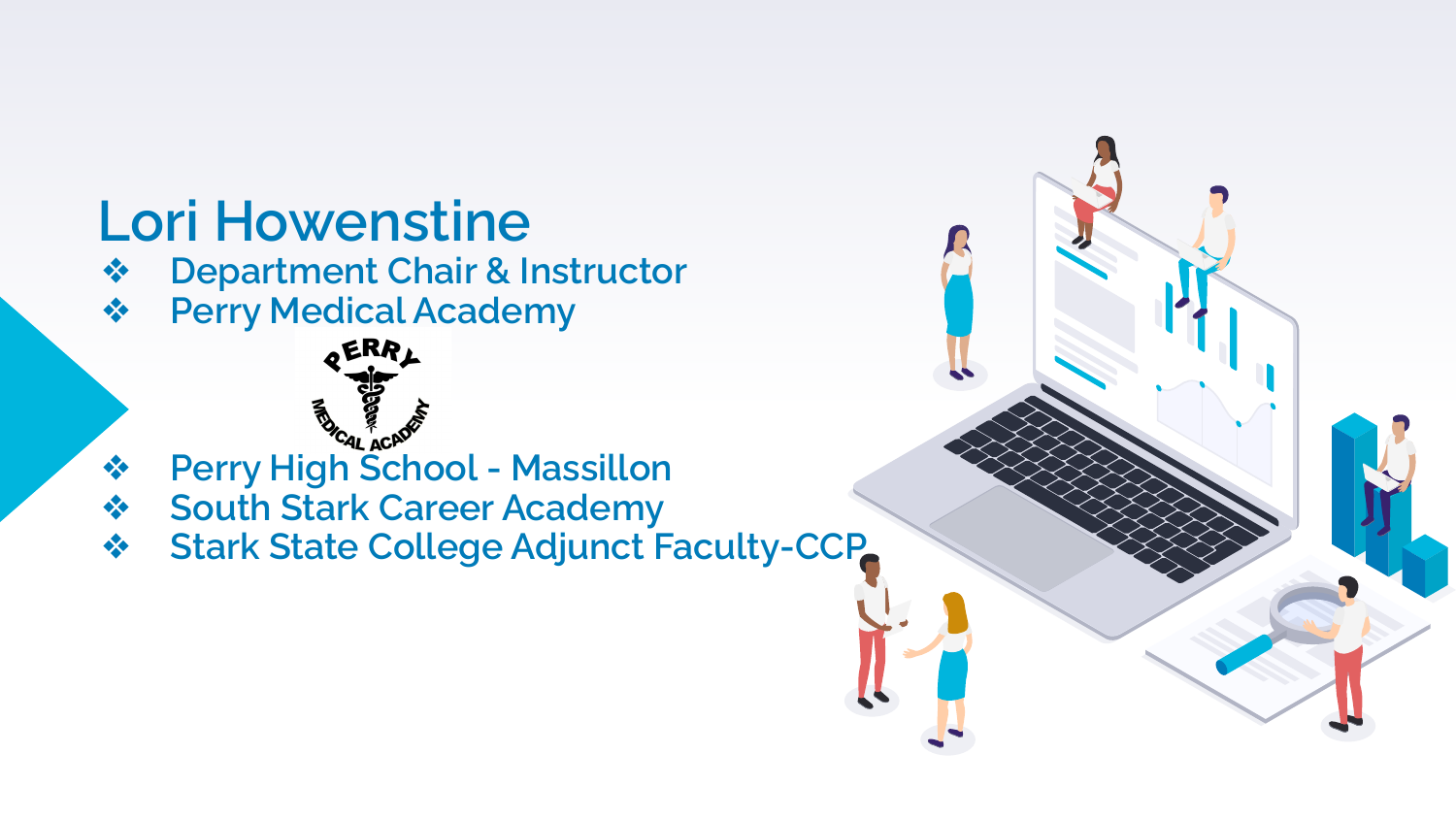### **Lori Howenstine**

- ❖ **Department Chair & Instructor**
- ❖ **Perry Medical Academy**



- ❖ **Perry High School Massillon**
- ❖ **South Stark Career Academy**
- ❖ **Stark State College Adjunct Faculty-CCP**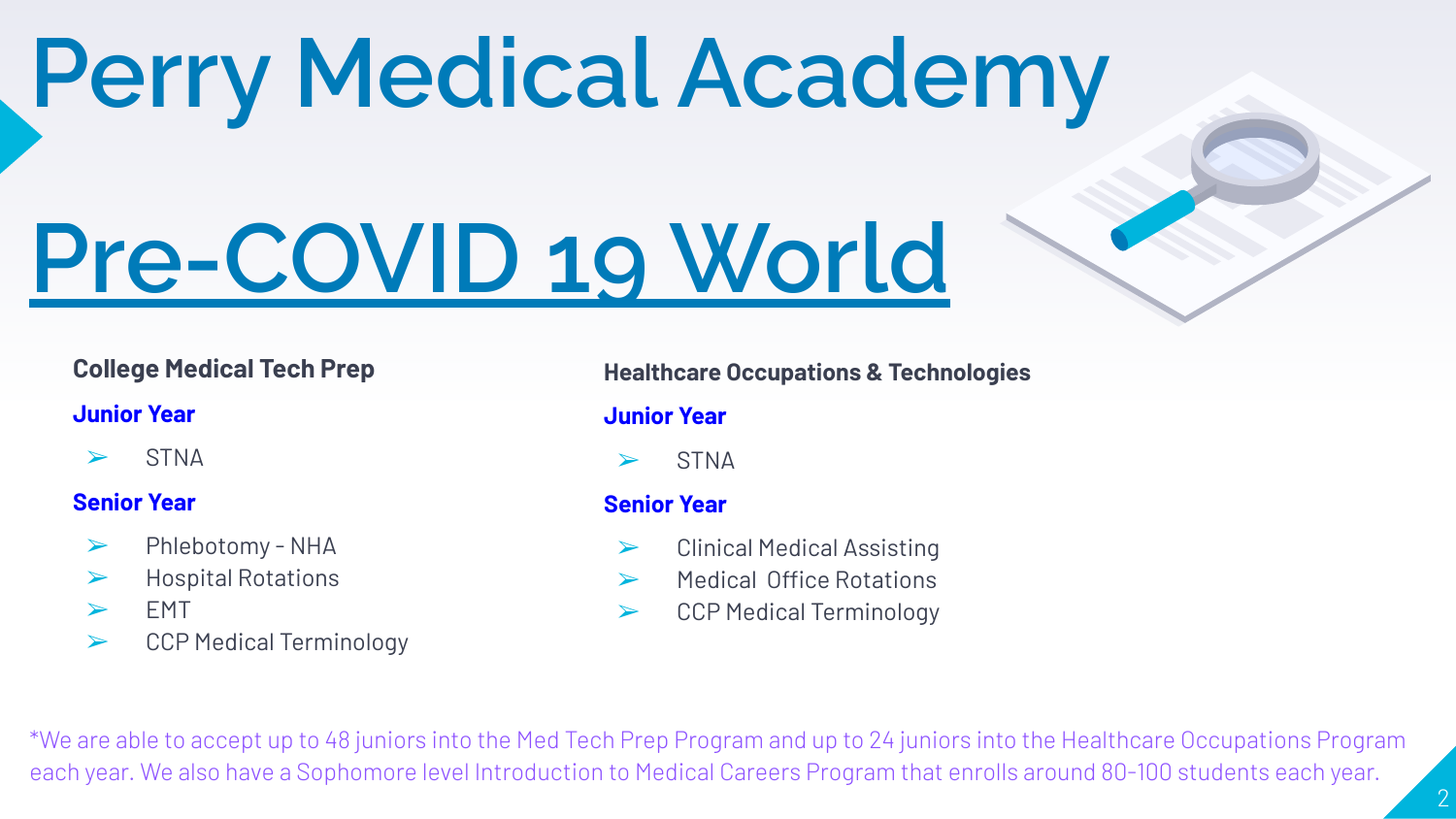## **Perry Medical Academy**

# **Pre-COVID 19 World**

### **College Medical Tech Prep**

#### **Junior Year**

 $>$  STNA

#### **Senior Year**

- ➢ Phlebotomy NHA
- ➢ Hospital Rotations
- $>$  FMT
- ➢ CCP Medical Terminology

#### **Healthcare Occupations & Technologies**

### **Junior Year**

**STNA** 

### **Senior Year**

- ➢ Clinical Medical Assisting
- ➢ Medical Office Rotations
- ➢ CCP Medical Terminology

\*We are able to accept up to 48 juniors into the Med Tech Prep Program and up to 24 juniors into the Healthcare Occupations Program each year. We also have a Sophomore level Introduction to Medical Careers Program that enrolls around 80-100 students each year.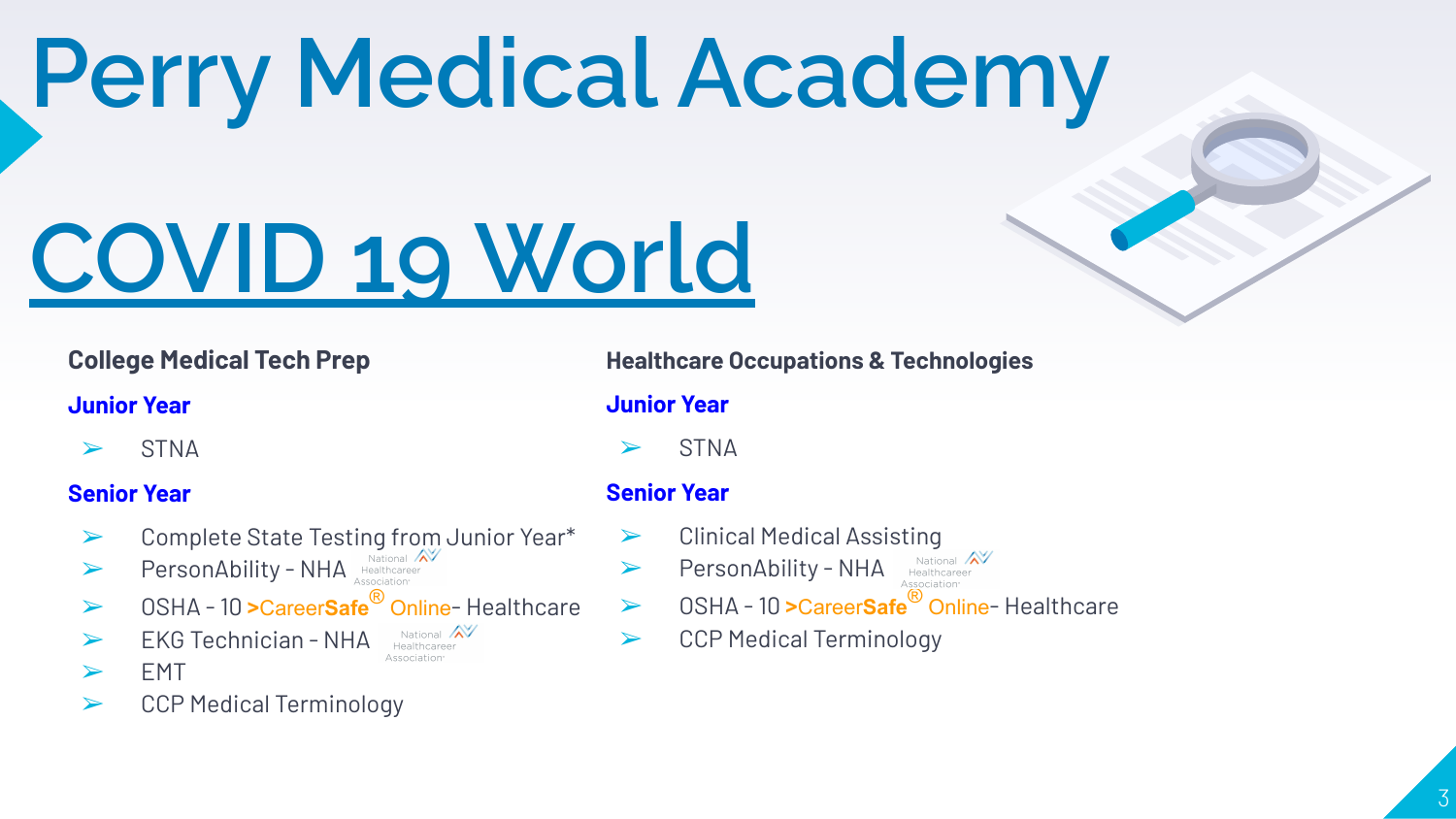## **Perry Medical Academy**

# **COVID 19 World**

### **College Medical Tech Prep**

#### **Junior Year**

 $>$  STNA

### **Senior Year**

- ➢ Complete State Testing from Junior Year\*
- **PersonAbility NHA**
- ➢ OSHA 10 **>**Career**Safe**® Online- Healthcare
- $\triangleright$  EKG Technician NHA National  $\mathbb{X}$ Association
- $>$  FMT
- ➢ CCP Medical Terminology

#### **Healthcare Occupations & Technologies**

**Junior Year**

**STNA** 

### **Senior Year**

- ➢ Clinical Medical Assisting
- > PersonAbility NHA National X
- ➢ OSHA 10 **>**Career**Safe**® Online- Healthcare
- ➢ CCP Medical Terminology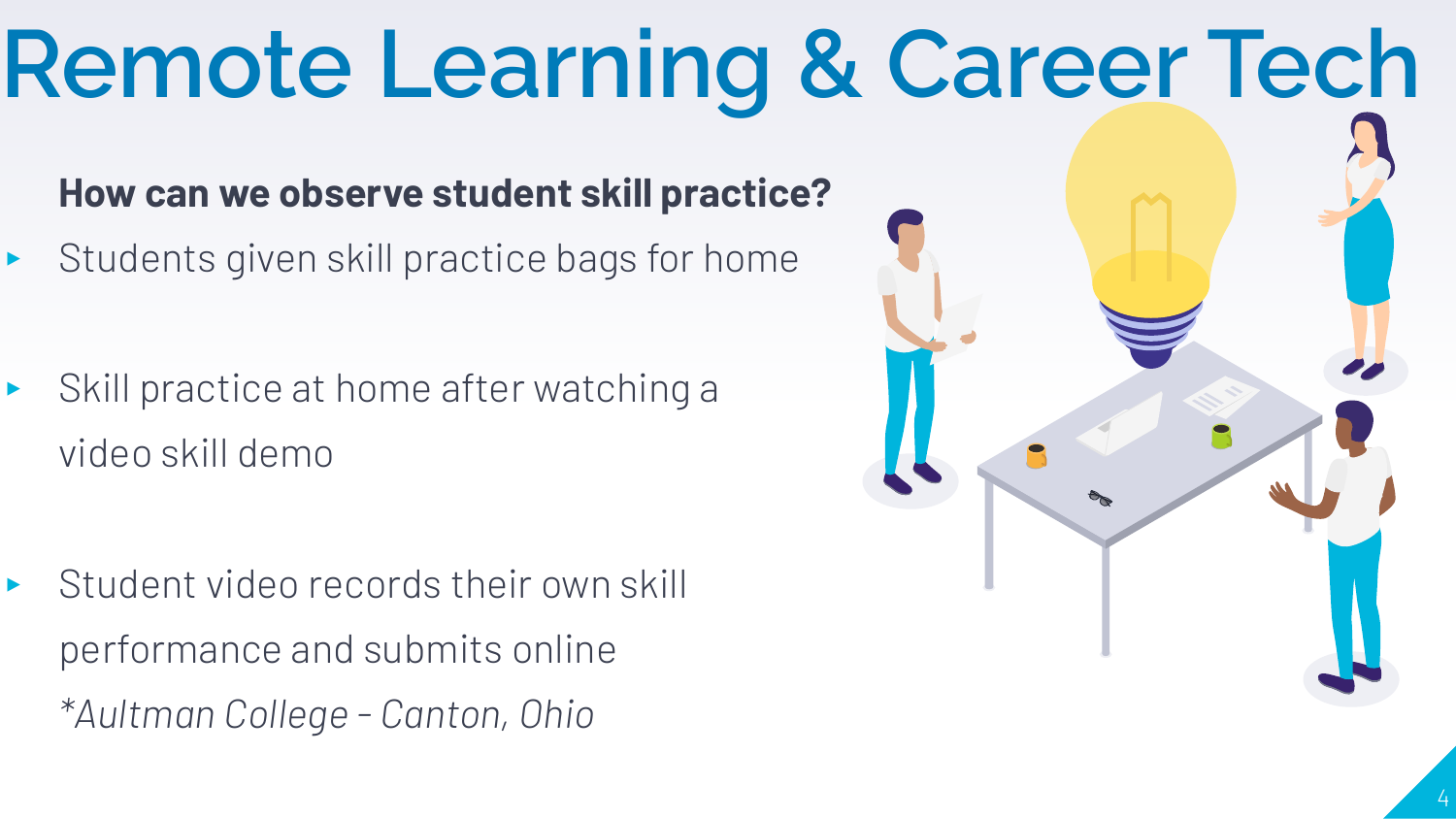### **How can we observe student skill practice?** ▸ Students given skill practice bags for home ▸ Skill practice at home after watching a video skill demo ▸ Student video records their own skill performance and submits online *\*Aultman College - Canton, Ohio* **Remote Learning & Career Tech**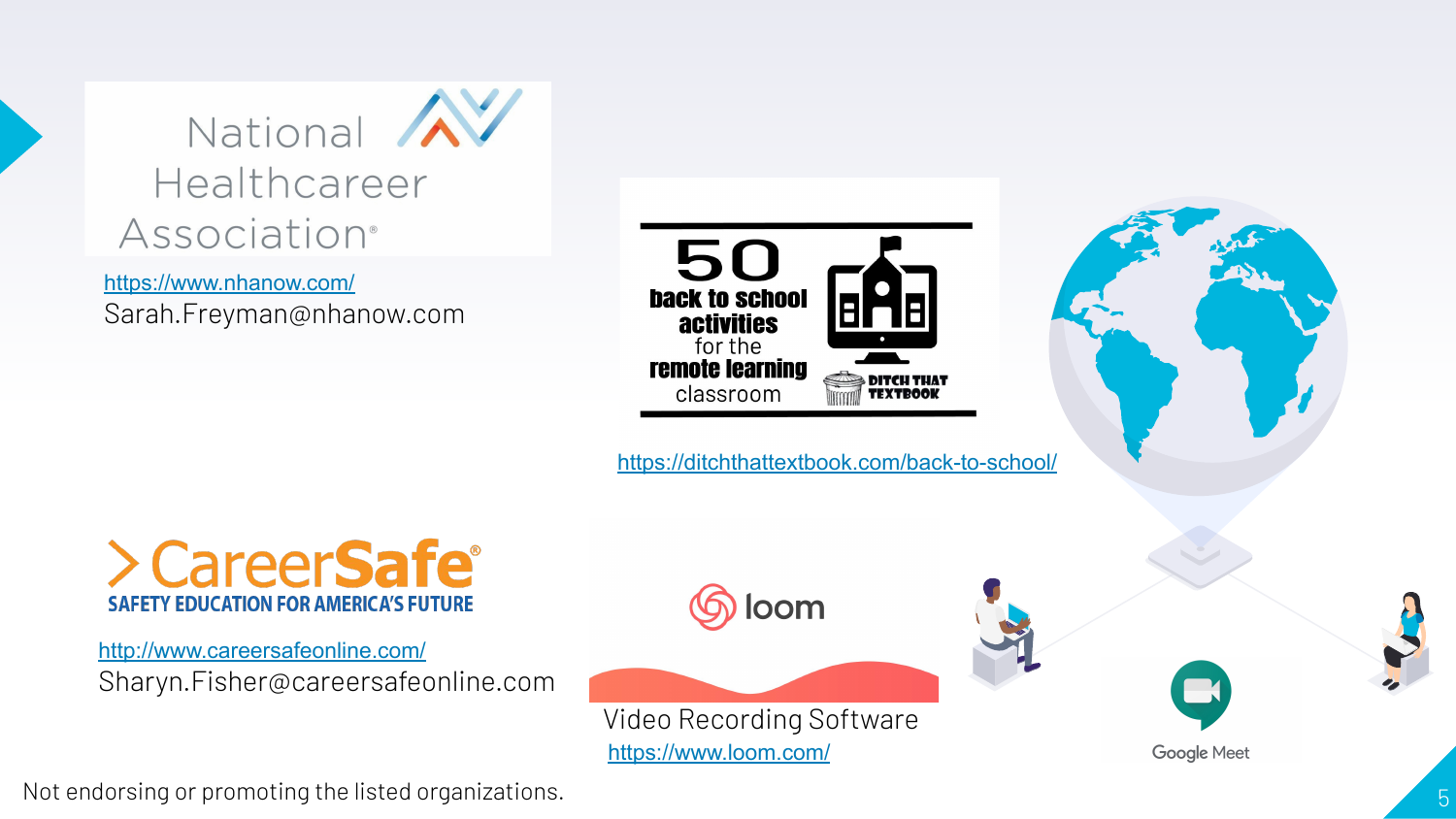

<https://www.nhanow.com/> Sarah.Freyman@nhanow.com



<https://ditchthattextbook.com/back-to-school/>



<http://www.careersafeonline.com/> Sharyn.Fisher@careersafeonline.com







**Google Meet** 

Not endorsing or promoting the listed organizations.